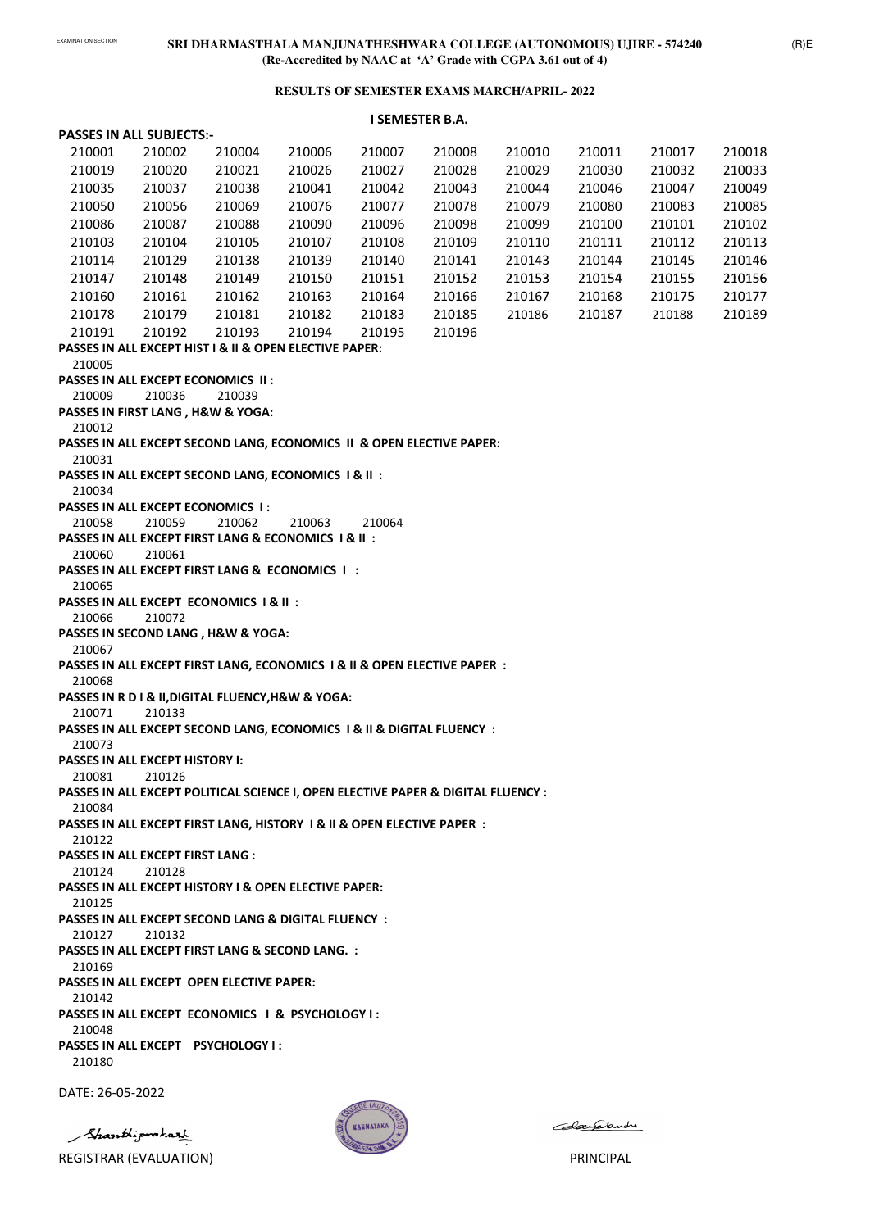# EXAMINATION SECTION **SRI DHARMASTHALA MANJUNATHESHWARA COLLEGE (AUTONOMOUS) UJIRE - 574240 (Re-Accredited by NAAC at 'A' Grade with CGPA 3.61 out of 4)**

### **RESULTS OF SEMESTER EXAMS MARCH/APRIL- 2022**

|  |  | <b>PASSES IN ALL SUBJECTS:-</b> |
|--|--|---------------------------------|
|--|--|---------------------------------|

# **I SEMESTER B.A.**

| 210019<br>210020<br>210021<br>210026<br>210027<br>210028<br>210029<br>210030<br>210032<br>210035<br>210037<br>210038<br>210041<br>210042<br>210043<br>210044<br>210046<br>210047<br>210050<br>210056<br>210069<br>210076<br>210077<br>210078<br>210079<br>210080<br>210083<br>210086<br>210088<br>210090<br>210098<br>210099<br>210100<br>210101<br>210087<br>210096<br>210103<br>210105<br>210107<br>210109<br>210110<br>210112<br>210104<br>210108<br>210111<br>210139<br>210114<br>210129<br>210138<br>210140<br>210141<br>210143<br>210144<br>210145<br>210147<br>210148<br>210149<br>210150<br>210151<br>210152<br>210153<br>210154<br>210155 | 210033<br>210049<br>210085<br>210102<br>210113<br>210146<br>210156<br>210177<br>210189 |
|----------------------------------------------------------------------------------------------------------------------------------------------------------------------------------------------------------------------------------------------------------------------------------------------------------------------------------------------------------------------------------------------------------------------------------------------------------------------------------------------------------------------------------------------------------------------------------------------------------------------------------------------------|----------------------------------------------------------------------------------------|
|                                                                                                                                                                                                                                                                                                                                                                                                                                                                                                                                                                                                                                                    |                                                                                        |
|                                                                                                                                                                                                                                                                                                                                                                                                                                                                                                                                                                                                                                                    |                                                                                        |
|                                                                                                                                                                                                                                                                                                                                                                                                                                                                                                                                                                                                                                                    |                                                                                        |
|                                                                                                                                                                                                                                                                                                                                                                                                                                                                                                                                                                                                                                                    |                                                                                        |
|                                                                                                                                                                                                                                                                                                                                                                                                                                                                                                                                                                                                                                                    |                                                                                        |
|                                                                                                                                                                                                                                                                                                                                                                                                                                                                                                                                                                                                                                                    |                                                                                        |
|                                                                                                                                                                                                                                                                                                                                                                                                                                                                                                                                                                                                                                                    |                                                                                        |
| 210160<br>210161<br>210162<br>210163<br>210164<br>210166<br>210167<br>210175<br>210168                                                                                                                                                                                                                                                                                                                                                                                                                                                                                                                                                             |                                                                                        |
| 210178<br>210181<br>210182<br>210185<br>210179<br>210183<br>210187<br>210186<br>210188                                                                                                                                                                                                                                                                                                                                                                                                                                                                                                                                                             |                                                                                        |
| 210191<br>210192<br>210193<br>210194<br>210196<br>210195                                                                                                                                                                                                                                                                                                                                                                                                                                                                                                                                                                                           |                                                                                        |
| PASSES IN ALL EXCEPT HIST I & II & OPEN ELECTIVE PAPER:                                                                                                                                                                                                                                                                                                                                                                                                                                                                                                                                                                                            |                                                                                        |
| 210005                                                                                                                                                                                                                                                                                                                                                                                                                                                                                                                                                                                                                                             |                                                                                        |
| <b>PASSES IN ALL EXCEPT ECONOMICS II:</b>                                                                                                                                                                                                                                                                                                                                                                                                                                                                                                                                                                                                          |                                                                                        |
| 210036<br>210039<br>210009                                                                                                                                                                                                                                                                                                                                                                                                                                                                                                                                                                                                                         |                                                                                        |
| PASSES IN FIRST LANG, H&W & YOGA:                                                                                                                                                                                                                                                                                                                                                                                                                                                                                                                                                                                                                  |                                                                                        |
| 210012                                                                                                                                                                                                                                                                                                                                                                                                                                                                                                                                                                                                                                             |                                                                                        |
| PASSES IN ALL EXCEPT SECOND LANG, ECONOMICS II & OPEN ELECTIVE PAPER:                                                                                                                                                                                                                                                                                                                                                                                                                                                                                                                                                                              |                                                                                        |
| 210031                                                                                                                                                                                                                                                                                                                                                                                                                                                                                                                                                                                                                                             |                                                                                        |
| PASSES IN ALL EXCEPT SECOND LANG, ECONOMICS 1 & II :                                                                                                                                                                                                                                                                                                                                                                                                                                                                                                                                                                                               |                                                                                        |
| 210034<br><b>PASSES IN ALL EXCEPT ECONOMICS 1:</b>                                                                                                                                                                                                                                                                                                                                                                                                                                                                                                                                                                                                 |                                                                                        |
| 210059<br>210064<br>210058<br>210062<br>210063                                                                                                                                                                                                                                                                                                                                                                                                                                                                                                                                                                                                     |                                                                                        |
| PASSES IN ALL EXCEPT FIRST LANG & ECONOMICS 1 & II :                                                                                                                                                                                                                                                                                                                                                                                                                                                                                                                                                                                               |                                                                                        |
| 210060<br>210061                                                                                                                                                                                                                                                                                                                                                                                                                                                                                                                                                                                                                                   |                                                                                        |
| PASSES IN ALL EXCEPT FIRST LANG & ECONOMICS I:                                                                                                                                                                                                                                                                                                                                                                                                                                                                                                                                                                                                     |                                                                                        |
| 210065                                                                                                                                                                                                                                                                                                                                                                                                                                                                                                                                                                                                                                             |                                                                                        |
| PASSES IN ALL EXCEPT ECONOMICS 1 & II :                                                                                                                                                                                                                                                                                                                                                                                                                                                                                                                                                                                                            |                                                                                        |
| 210066<br>210072                                                                                                                                                                                                                                                                                                                                                                                                                                                                                                                                                                                                                                   |                                                                                        |
| PASSES IN SECOND LANG, H&W & YOGA:                                                                                                                                                                                                                                                                                                                                                                                                                                                                                                                                                                                                                 |                                                                                        |
| 210067                                                                                                                                                                                                                                                                                                                                                                                                                                                                                                                                                                                                                                             |                                                                                        |
| PASSES IN ALL EXCEPT FIRST LANG, ECONOMICS 1 & II & OPEN ELECTIVE PAPER :<br>210068                                                                                                                                                                                                                                                                                                                                                                                                                                                                                                                                                                |                                                                                        |
| PASSES IN R D I & II, DIGITAL FLUENCY, H&W & YOGA:                                                                                                                                                                                                                                                                                                                                                                                                                                                                                                                                                                                                 |                                                                                        |
| 210071<br>210133                                                                                                                                                                                                                                                                                                                                                                                                                                                                                                                                                                                                                                   |                                                                                        |
| PASSES IN ALL EXCEPT SECOND LANG, ECONOMICS 1 & II & DIGITAL FLUENCY :                                                                                                                                                                                                                                                                                                                                                                                                                                                                                                                                                                             |                                                                                        |
| 210073                                                                                                                                                                                                                                                                                                                                                                                                                                                                                                                                                                                                                                             |                                                                                        |
| <b>PASSES IN ALL EXCEPT HISTORY I:</b>                                                                                                                                                                                                                                                                                                                                                                                                                                                                                                                                                                                                             |                                                                                        |
| 210126<br>210081                                                                                                                                                                                                                                                                                                                                                                                                                                                                                                                                                                                                                                   |                                                                                        |
| PASSES IN ALL EXCEPT POLITICAL SCIENCE I, OPEN ELECTIVE PAPER & DIGITAL FLUENCY :                                                                                                                                                                                                                                                                                                                                                                                                                                                                                                                                                                  |                                                                                        |
| 210084                                                                                                                                                                                                                                                                                                                                                                                                                                                                                                                                                                                                                                             |                                                                                        |
| PASSES IN ALL EXCEPT FIRST LANG, HISTORY 1 & II & OPEN ELECTIVE PAPER :                                                                                                                                                                                                                                                                                                                                                                                                                                                                                                                                                                            |                                                                                        |
| 210122                                                                                                                                                                                                                                                                                                                                                                                                                                                                                                                                                                                                                                             |                                                                                        |
| PASSES IN ALL EXCEPT FIRST LANG :<br>210124<br>210128                                                                                                                                                                                                                                                                                                                                                                                                                                                                                                                                                                                              |                                                                                        |
| <b>PASSES IN ALL EXCEPT HISTORY I &amp; OPEN ELECTIVE PAPER:</b>                                                                                                                                                                                                                                                                                                                                                                                                                                                                                                                                                                                   |                                                                                        |
| 210125                                                                                                                                                                                                                                                                                                                                                                                                                                                                                                                                                                                                                                             |                                                                                        |

**PASSES IN ALL EXCEPT SECOND LANG & DIGITAL FLUENCY :**

210127 210132

#### **PASSES IN ALL EXCEPT FIRST LANG & SECOND LANG. :**

210169

# **PASSES IN ALL EXCEPT OPEN ELECTIVE PAPER:**

210142

#### **PASSES IN ALL EXCEPT ECONOMICS I & PSYCHOLOGY I :**

210048

### **PASSES IN ALL EXCEPT PSYCHOLOGY I :**

210180

DATE: 26-05-2022

Shanthiprakazh



Colaegalandre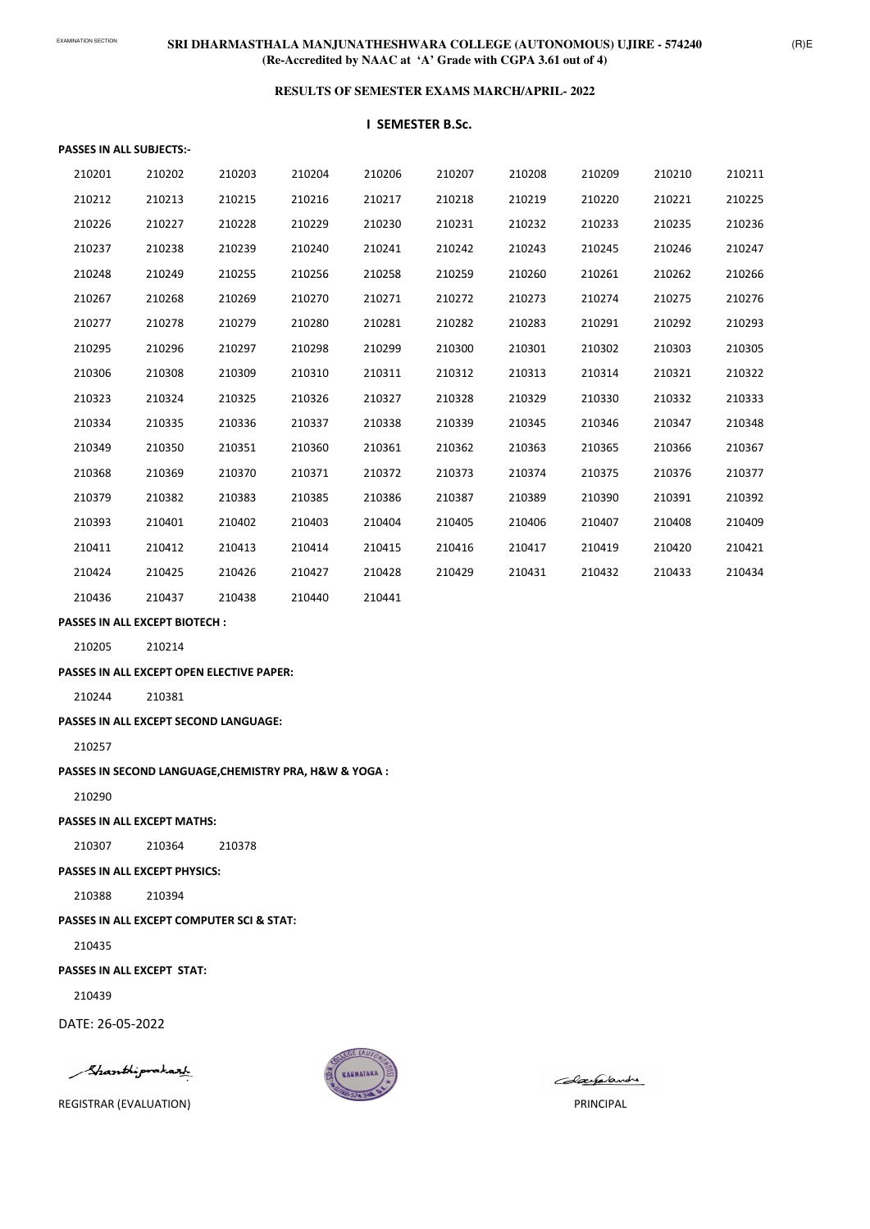# EXAMINATION SECTION **SRI DHARMASTHALA MANJUNATHESHWARA COLLEGE (AUTONOMOUS) UJIRE - 574240 (Re-Accredited by NAAC at 'A' Grade with CGPA 3.61 out of 4)**

#### **RESULTS OF SEMESTER EXAMS MARCH/APRIL- 2022**

#### **PASSES IN ALL SUBJECTS:-**

#### **I SEMESTER B.Sc.**

| 210201 | 210202 | 210203 | 210204 | 210206 | 210207 | 210208 | 210209 | 210210 | 210211 |
|--------|--------|--------|--------|--------|--------|--------|--------|--------|--------|
| 210212 | 210213 | 210215 | 210216 | 210217 | 210218 | 210219 | 210220 | 210221 | 210225 |
| 210226 | 210227 | 210228 | 210229 | 210230 | 210231 | 210232 | 210233 | 210235 | 210236 |
| 210237 | 210238 | 210239 | 210240 | 210241 | 210242 | 210243 | 210245 | 210246 | 210247 |
| 210248 | 210249 | 210255 | 210256 | 210258 | 210259 | 210260 | 210261 | 210262 | 210266 |
| 210267 | 210268 | 210269 | 210270 | 210271 | 210272 | 210273 | 210274 | 210275 | 210276 |
| 210277 | 210278 | 210279 | 210280 | 210281 | 210282 | 210283 | 210291 | 210292 | 210293 |
| 210295 | 210296 | 210297 | 210298 | 210299 | 210300 | 210301 | 210302 | 210303 | 210305 |
| 210306 | 210308 | 210309 | 210310 | 210311 | 210312 | 210313 | 210314 | 210321 | 210322 |
| 210323 | 210324 | 210325 | 210326 | 210327 | 210328 | 210329 | 210330 | 210332 | 210333 |
| 210334 | 210335 | 210336 | 210337 | 210338 | 210339 | 210345 | 210346 | 210347 | 210348 |
| 210349 | 210350 | 210351 | 210360 | 210361 | 210362 | 210363 | 210365 | 210366 | 210367 |
| 210368 | 210369 | 210370 | 210371 | 210372 | 210373 | 210374 | 210375 | 210376 | 210377 |
| 210379 | 210382 | 210383 | 210385 | 210386 | 210387 | 210389 | 210390 | 210391 | 210392 |
| 210393 | 210401 | 210402 | 210403 | 210404 | 210405 | 210406 | 210407 | 210408 | 210409 |
| 210411 | 210412 | 210413 | 210414 | 210415 | 210416 | 210417 | 210419 | 210420 | 210421 |
| 210424 | 210425 | 210426 | 210427 | 210428 | 210429 | 210431 | 210432 | 210433 | 210434 |
| 210436 | 210437 | 210438 | 210440 | 210441 |        |        |        |        |        |

#### **PASSES IN ALL EXCEPT BIOTECH :**

210205 210214

**PASSES IN ALL EXCEPT OPEN ELECTIVE PAPER:**

210244 210381

**PASSES IN ALL EXCEPT SECOND LANGUAGE:**

210257

**PASSES IN SECOND LANGUAGE,CHEMISTRY PRA, H&W & YOGA :**

210290

**PASSES IN ALL EXCEPT MATHS:**

210307 210364 210378

#### **PASSES IN ALL EXCEPT PHYSICS:**

210388 210394

# **PASSES IN ALL EXCEPT COMPUTER SCI & STAT:**

210435

**PASSES IN ALL EXCEPT STAT:**

210439

DATE: 26-05-2022

Shanthiprakart



Colaegalandre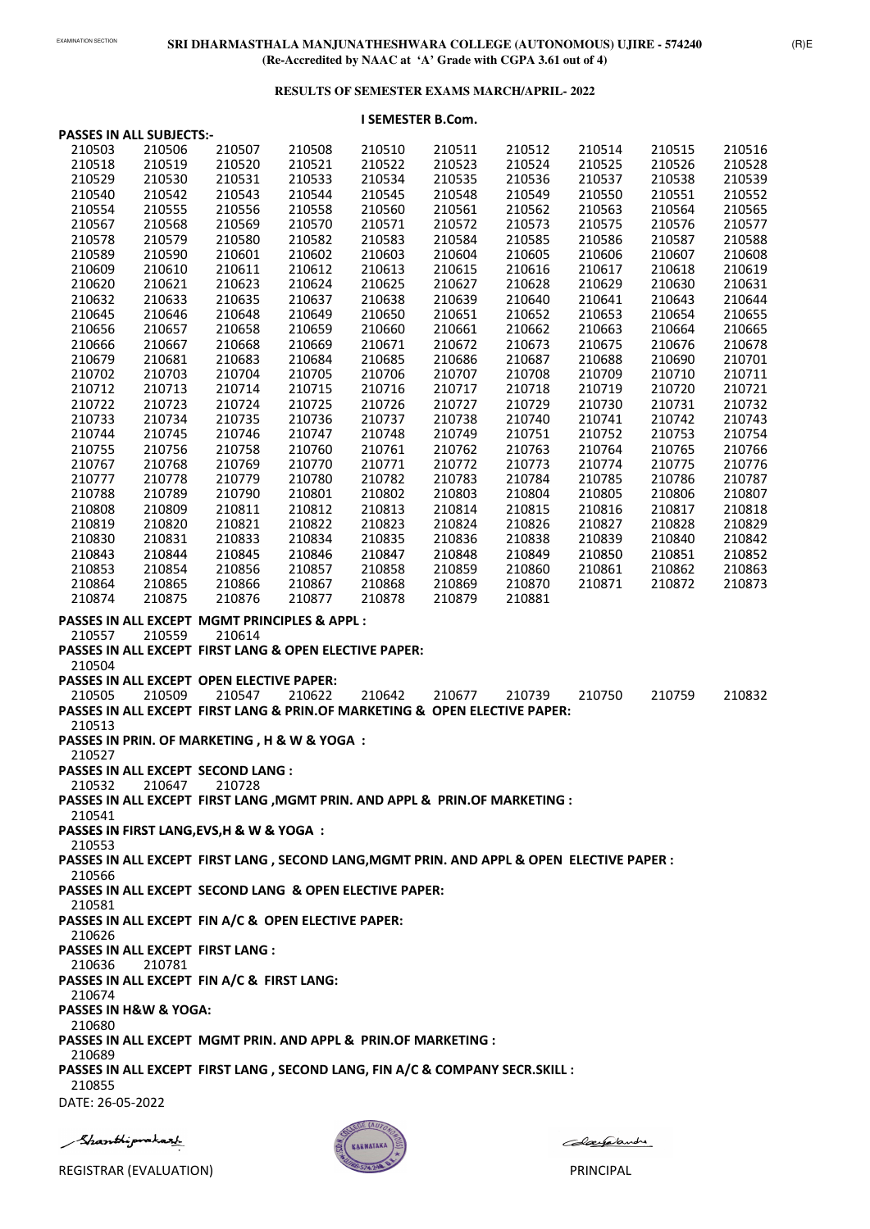# **RESULTS OF SEMESTER EXAMS MARCH/APRIL- 2022**

# **I SEMESTER B.Com.**

**PASSES IN ALL EXCEPT FIN A/C & OPEN ELECTIVE PAPER: PASSES IN ALL EXCEPT FIRST LANG :**  210781 **PASSES IN ALL EXCEPT FIN A/C & FIRST LANG: PASSES IN H&W & YOGA: PASSES IN ALL EXCEPT MGMT PRIN. AND APPL & PRIN.OF MARKETING : PASSES IN ALL EXCEPT FIRST LANG , SECOND LANG, FIN A/C & COMPANY SECR.SKILL :**  DATE: 26-05-2022 Shanthiprakazh



Colaegalande

|        | <b>PASSES IN ALL SUBJECTS:-</b> |                                                                                            |        |        |        |        |        |        |        |
|--------|---------------------------------|--------------------------------------------------------------------------------------------|--------|--------|--------|--------|--------|--------|--------|
| 210503 | 210506                          | 210507                                                                                     | 210508 | 210510 | 210511 | 210512 | 210514 | 210515 | 210516 |
| 210518 | 210519                          | 210520                                                                                     | 210521 | 210522 | 210523 | 210524 | 210525 | 210526 | 210528 |
| 210529 | 210530                          | 210531                                                                                     | 210533 | 210534 | 210535 | 210536 | 210537 | 210538 | 210539 |
| 210540 | 210542                          | 210543                                                                                     | 210544 | 210545 | 210548 | 210549 | 210550 | 210551 | 210552 |
| 210554 | 210555                          | 210556                                                                                     | 210558 | 210560 | 210561 | 210562 | 210563 | 210564 | 210565 |
| 210567 | 210568                          | 210569                                                                                     | 210570 | 210571 | 210572 | 210573 | 210575 | 210576 | 210577 |
| 210578 | 210579                          | 210580                                                                                     | 210582 | 210583 | 210584 | 210585 | 210586 | 210587 | 210588 |
| 210589 | 210590                          | 210601                                                                                     | 210602 | 210603 | 210604 | 210605 | 210606 | 210607 | 210608 |
| 210609 | 210610                          | 210611                                                                                     | 210612 | 210613 | 210615 | 210616 | 210617 | 210618 | 210619 |
| 210620 | 210621                          | 210623                                                                                     | 210624 | 210625 | 210627 | 210628 | 210629 | 210630 | 210631 |
| 210632 | 210633                          | 210635                                                                                     | 210637 | 210638 | 210639 | 210640 | 210641 | 210643 | 210644 |
| 210645 | 210646                          | 210648                                                                                     | 210649 | 210650 | 210651 | 210652 | 210653 | 210654 | 210655 |
| 210656 | 210657                          | 210658                                                                                     | 210659 | 210660 | 210661 | 210662 | 210663 | 210664 | 210665 |
| 210666 | 210667                          | 210668                                                                                     | 210669 | 210671 | 210672 | 210673 | 210675 | 210676 | 210678 |
| 210679 | 210681                          | 210683                                                                                     | 210684 | 210685 | 210686 | 210687 | 210688 | 210690 | 210701 |
| 210702 | 210703                          | 210704                                                                                     | 210705 | 210706 | 210707 | 210708 | 210709 | 210710 | 210711 |
| 210712 | 210713                          | 210714                                                                                     | 210715 | 210716 | 210717 | 210718 | 210719 | 210720 | 210721 |
| 210722 | 210723                          | 210724                                                                                     | 210725 | 210726 | 210727 | 210729 | 210730 | 210731 | 210732 |
| 210733 | 210734                          | 210735                                                                                     | 210736 | 210737 | 210738 | 210740 | 210741 | 210742 | 210743 |
| 210744 | 210745                          | 210746                                                                                     | 210747 | 210748 | 210749 | 210751 | 210752 | 210753 | 210754 |
| 210755 | 210756                          | 210758                                                                                     | 210760 | 210761 | 210762 | 210763 | 210764 | 210765 | 210766 |
| 210767 | 210768                          | 210769                                                                                     | 210770 | 210771 | 210772 | 210773 | 210774 | 210775 | 210776 |
| 210777 | 210778                          | 210779                                                                                     | 210780 | 210782 | 210783 | 210784 | 210785 | 210786 | 210787 |
| 210788 | 210789                          | 210790                                                                                     | 210801 | 210802 | 210803 | 210804 | 210805 | 210806 | 210807 |
| 210808 | 210809                          | 210811                                                                                     | 210812 | 210813 | 210814 | 210815 | 210816 | 210817 | 210818 |
| 210819 | 210820                          | 210821                                                                                     | 210822 | 210823 | 210824 | 210826 | 210827 | 210828 | 210829 |
| 210830 | 210831                          | 210833                                                                                     | 210834 | 210835 | 210836 | 210838 | 210839 | 210840 | 210842 |
| 210843 | 210844                          | 210845                                                                                     | 210846 | 210847 | 210848 | 210849 | 210850 | 210851 | 210852 |
| 210853 | 210854                          | 210856                                                                                     | 210857 | 210858 | 210859 | 210860 | 210861 | 210862 | 210863 |
| 210864 | 210865                          | 210866                                                                                     | 210867 | 210868 | 210869 | 210870 | 210871 | 210872 | 210873 |
| 210874 | 210875                          | 210876                                                                                     | 210877 | 210878 | 210879 | 210881 |        |        |        |
|        |                                 | PASSES IN ALL EXCEPT MGMT PRINCIPLES & APPL :                                              |        |        |        |        |        |        |        |
| 210557 | 210559                          | 210614                                                                                     |        |        |        |        |        |        |        |
|        |                                 | PASSES IN ALL EXCEPT FIRST LANG & OPEN ELECTIVE PAPER:                                     |        |        |        |        |        |        |        |
| 210504 |                                 |                                                                                            |        |        |        |        |        |        |        |
|        |                                 | <b>PASSES IN ALL EXCEPT OPEN ELECTIVE PAPER:</b>                                           |        |        |        |        |        |        |        |
| 210505 | 210509                          | 210547                                                                                     | 210622 | 210642 | 210677 | 210739 | 210750 | 210759 | 210832 |
|        |                                 | <b>PASSES IN ALL EXCEPT FIRST LANG &amp; PRIN. OF MARKETING &amp; OPEN ELECTIVE PAPER:</b> |        |        |        |        |        |        |        |
| 210513 |                                 |                                                                                            |        |        |        |        |        |        |        |
|        |                                 | PASSES IN PRIN. OF MARKETING, H & W & YOGA:                                                |        |        |        |        |        |        |        |
| 210527 |                                 |                                                                                            |        |        |        |        |        |        |        |
|        |                                 | <b>PASSES IN ALL EXCEPT SECOND LANG:</b>                                                   |        |        |        |        |        |        |        |
| 210532 | 210647                          | 210728                                                                                     |        |        |        |        |        |        |        |
|        |                                 | PASSES IN ALL EXCEPT FIRST LANG , MGMT PRIN. AND APPL & PRIN. OF MARKETING :               |        |        |        |        |        |        |        |
| 210541 |                                 |                                                                                            |        |        |        |        |        |        |        |
|        |                                 | PASSES IN FIRST LANG, EVS, H & W & YOGA:                                                   |        |        |        |        |        |        |        |
| 210553 |                                 |                                                                                            |        |        |        |        |        |        |        |
|        |                                 | PASSES IN ALL EXCEPT FIRST LANG, SECOND LANG, MGMT PRIN. AND APPL & OPEN ELECTIVE PAPER :  |        |        |        |        |        |        |        |
| 210566 |                                 |                                                                                            |        |        |        |        |        |        |        |
|        |                                 | PASSES IN ALL EXCEPT SECOND LANG & OPEN ELECTIVE PAPER:                                    |        |        |        |        |        |        |        |
| 210581 |                                 |                                                                                            |        |        |        |        |        |        |        |
|        |                                 | <b>PASSES IN ALL EXCEPT FIN A/C &amp; OPEN FLECTIVE PAPER:</b>                             |        |        |        |        |        |        |        |